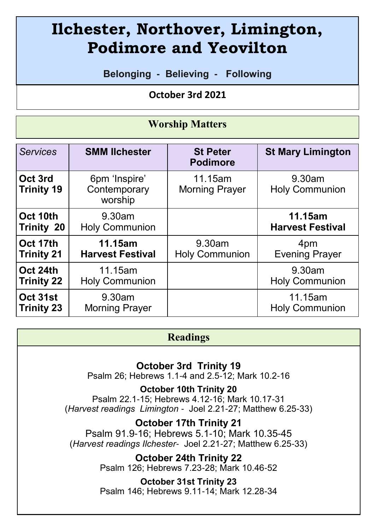# **Ilchester, Northover, Limington, Podimore and Yeovilton**

**Belonging - Believing - Following**

 **October 3rd 2021** 

#### **Worship Matters**

| <b>Services</b>              | <b>SMM lichester</b>                     | <b>St Peter</b><br><b>Podimore</b> | <b>St Mary Limington</b>        |
|------------------------------|------------------------------------------|------------------------------------|---------------------------------|
| Oct 3rd<br><b>Trinity 19</b> | 6pm 'Inspire'<br>Contemporary<br>worship | 11.15am<br><b>Morning Prayer</b>   | 9.30am<br><b>Holy Communion</b> |
| Oct 10th                     | 9.30am                                   |                                    | 11.15am                         |
| Trinity 20                   | <b>Holy Communion</b>                    |                                    | <b>Harvest Festival</b>         |
| Oct 17th                     | 11.15am                                  | 9.30am                             | 4pm                             |
| <b>Trinity 21</b>            | <b>Harvest Festival</b>                  | <b>Holy Communion</b>              | <b>Evening Prayer</b>           |
| Oct 24th                     | 11.15am                                  |                                    | 9.30am                          |
| <b>Trinity 22</b>            | <b>Holy Communion</b>                    |                                    | <b>Holy Communion</b>           |
| Oct 31st                     | 9.30am                                   |                                    | 11.15am                         |
| <b>Trinity 23</b>            | <b>Morning Prayer</b>                    |                                    | <b>Holy Communion</b>           |

#### **Readings**

**October 3rd Trinity 19**

Psalm 26; Hebrews 1.1-4 and 2.5-12; Mark 10.2-16

**October 10th Trinity 20** Psalm 22.1-15; Hebrews 4.12-16; Mark 10.17-31

(*Harvest readings Limington* - Joel 2.21-27; Matthew 6.25-33)

**October 17th Trinity 21**

Psalm 91.9-16; Hebrews 5.1-10; Mark 10.35-45 (*Harvest readings Ilchester*- Joel 2.21-27; Matthew 6.25-33)

> **October 24th Trinity 22** Psalm 126; Hebrews 7.23-28; Mark 10.46-52

> **October 31st Trinity 23**  Psalm 146; Hebrews 9.11-14; Mark 12.28-34